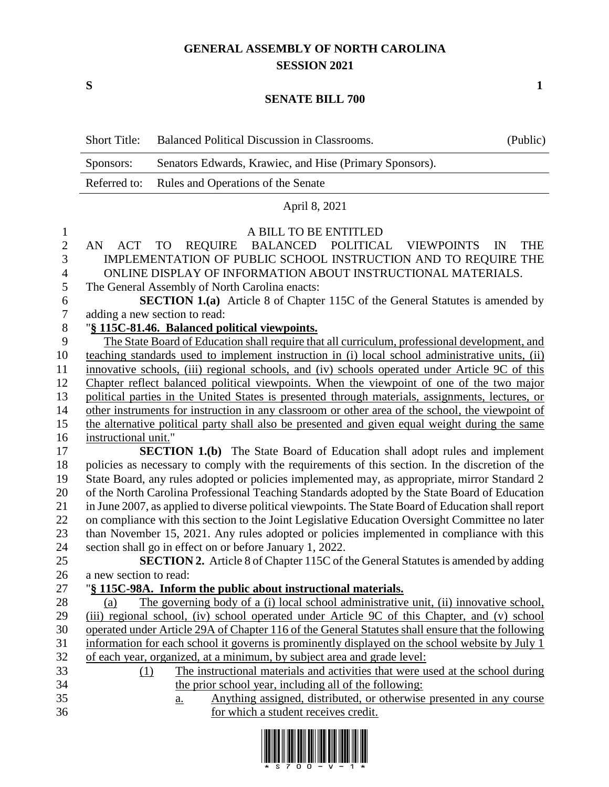## **GENERAL ASSEMBLY OF NORTH CAROLINA SESSION 2021**

**S 1**

## **SENATE BILL 700**

|                  | <b>Short Title:</b>    | Balanced Political Discussion in Classrooms.                                                                                                                                                      | (Public)         |
|------------------|------------------------|---------------------------------------------------------------------------------------------------------------------------------------------------------------------------------------------------|------------------|
|                  | Sponsors:              | Senators Edwards, Krawiec, and Hise (Primary Sponsors).                                                                                                                                           |                  |
|                  | Referred to:           | Rules and Operations of the Senate                                                                                                                                                                |                  |
|                  |                        | April 8, 2021                                                                                                                                                                                     |                  |
| $\mathbf{1}$     |                        | A BILL TO BE ENTITLED                                                                                                                                                                             |                  |
| $\overline{2}$   | <b>ACT</b><br>AN       | BALANCED POLITICAL<br><b>VIEWPOINTS</b><br><b>TO</b><br><b>REQUIRE</b>                                                                                                                            | <b>THE</b><br>IN |
| 3                |                        | IMPLEMENTATION OF PUBLIC SCHOOL INSTRUCTION AND TO REQUIRE THE                                                                                                                                    |                  |
| 4                |                        | ONLINE DISPLAY OF INFORMATION ABOUT INSTRUCTIONAL MATERIALS.                                                                                                                                      |                  |
| 5                |                        | The General Assembly of North Carolina enacts:                                                                                                                                                    |                  |
| 6                |                        | <b>SECTION 1.(a)</b> Article 8 of Chapter 115C of the General Statutes is amended by                                                                                                              |                  |
| $\boldsymbol{7}$ |                        | adding a new section to read:                                                                                                                                                                     |                  |
| $8\,$            |                        | "§ 115C-81.46. Balanced political viewpoints.                                                                                                                                                     |                  |
| 9                |                        | The State Board of Education shall require that all curriculum, professional development, and                                                                                                     |                  |
| 10               |                        | teaching standards used to implement instruction in (i) local school administrative units, (ii)                                                                                                   |                  |
| 11               |                        | innovative schools, (iii) regional schools, and (iv) schools operated under Article 9C of this                                                                                                    |                  |
| 12               |                        | Chapter reflect balanced political viewpoints. When the viewpoint of one of the two major                                                                                                         |                  |
| 13               |                        | political parties in the United States is presented through materials, assignments, lectures, or                                                                                                  |                  |
| 14               |                        | other instruments for instruction in any classroom or other area of the school, the viewpoint of                                                                                                  |                  |
| 15               |                        | the alternative political party shall also be presented and given equal weight during the same                                                                                                    |                  |
| 16               | instructional unit."   |                                                                                                                                                                                                   |                  |
| 17               |                        | <b>SECTION 1.(b)</b> The State Board of Education shall adopt rules and implement                                                                                                                 |                  |
| 18               |                        | policies as necessary to comply with the requirements of this section. In the discretion of the                                                                                                   |                  |
| 19               |                        | State Board, any rules adopted or policies implemented may, as appropriate, mirror Standard 2                                                                                                     |                  |
| 20               |                        | of the North Carolina Professional Teaching Standards adopted by the State Board of Education                                                                                                     |                  |
| 21               |                        | in June 2007, as applied to diverse political viewpoints. The State Board of Education shall report                                                                                               |                  |
| 22               |                        | on compliance with this section to the Joint Legislative Education Oversight Committee no later                                                                                                   |                  |
| 23               |                        | than November 15, 2021. Any rules adopted or policies implemented in compliance with this                                                                                                         |                  |
| 24               |                        | section shall go in effect on or before January 1, 2022.                                                                                                                                          |                  |
| 25               |                        | <b>SECTION 2.</b> Article 8 of Chapter 115C of the General Statutes is amended by adding                                                                                                          |                  |
| 26               | a new section to read: |                                                                                                                                                                                                   |                  |
| 27               |                        | "§ 115C-98A. Inform the public about instructional materials.                                                                                                                                     |                  |
| 28               | (a)                    | The governing body of a (i) local school administrative unit, (ii) innovative school,                                                                                                             |                  |
| 29               |                        | (iii) regional school, (iv) school operated under Article 9C of this Chapter, and (v) school<br>operated under Article 29A of Chapter 116 of the General Statutes shall ensure that the following |                  |
| 30<br>31         |                        | information for each school it governs is prominently displayed on the school website by July 1                                                                                                   |                  |
| 32               |                        | of each year, organized, at a minimum, by subject area and grade level:                                                                                                                           |                  |
| 33               | (1)                    | The instructional materials and activities that were used at the school during                                                                                                                    |                  |
| 34               |                        | the prior school year, including all of the following:                                                                                                                                            |                  |
| 35               |                        | Anything assigned, distributed, or otherwise presented in any course<br>$\underline{a}$ .                                                                                                         |                  |
| 36               |                        | for which a student receives credit.                                                                                                                                                              |                  |

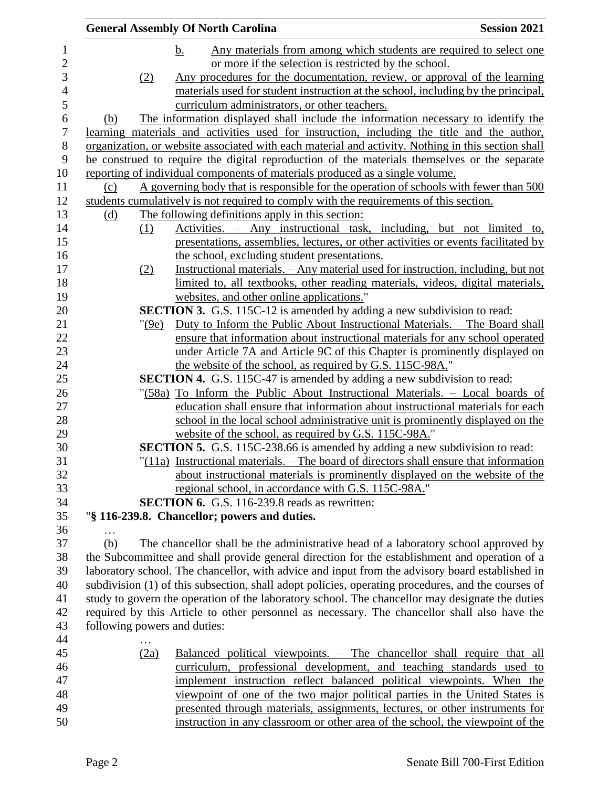|            |          | <b>General Assembly Of North Carolina</b>                                                          | <b>Session 2021</b> |
|------------|----------|----------------------------------------------------------------------------------------------------|---------------------|
|            |          | Any materials from among which students are required to select one<br>b.                           |                     |
|            |          | or more if the selection is restricted by the school.                                              |                     |
|            | (2)      | Any procedures for the documentation, review, or approval of the learning                          |                     |
|            |          | materials used for student instruction at the school, including by the principal,                  |                     |
|            |          | curriculum administrators, or other teachers.                                                      |                     |
| (b)        |          | The information displayed shall include the information necessary to identify the                  |                     |
|            |          | learning materials and activities used for instruction, including the title and the author,        |                     |
|            |          | organization, or website associated with each material and activity. Nothing in this section shall |                     |
|            |          | be construed to require the digital reproduction of the materials themselves or the separate       |                     |
|            |          | reporting of individual components of materials produced as a single volume.                       |                     |
| (c)        |          | A governing body that is responsible for the operation of schools with fewer than 500              |                     |
|            |          | students cumulatively is not required to comply with the requirements of this section.             |                     |
| <u>(d)</u> |          | The following definitions apply in this section:                                                   |                     |
|            | (1)      | Activities. – Any instructional task, including, but not limited                                   | to,                 |
|            |          | presentations, assemblies, lectures, or other activities or events facilitated by                  |                     |
|            |          | the school, excluding student presentations.                                                       |                     |
|            | (2)      | Instructional materials. - Any material used for instruction, including, but not                   |                     |
|            |          | limited to, all textbooks, other reading materials, videos, digital materials,                     |                     |
|            |          | websites, and other online applications."                                                          |                     |
|            |          | <b>SECTION 3.</b> G.S. 115C-12 is amended by adding a new subdivision to read:                     |                     |
|            | " $(9e)$ | Duty to Inform the Public About Instructional Materials. - The Board shall                         |                     |
|            |          | ensure that information about instructional materials for any school operated                      |                     |
|            |          | under Article 7A and Article 9C of this Chapter is prominently displayed on                        |                     |
|            |          | the website of the school, as required by G.S. 115C-98A."                                          |                     |
|            |          | <b>SECTION 4.</b> G.S. 115C-47 is amended by adding a new subdivision to read:                     |                     |
|            |          | "(58a) To Inform the Public About Instructional Materials. - Local boards of                       |                     |
|            |          | education shall ensure that information about instructional materials for each                     |                     |
|            |          | school in the local school administrative unit is prominently displayed on the                     |                     |
|            |          | website of the school, as required by G.S. 115C-98A."                                              |                     |
|            |          | <b>SECTION 5.</b> G.S. 115C-238.66 is amended by adding a new subdivision to read:                 |                     |
|            |          | $"(11a)$ Instructional materials. $-$ The board of directors shall ensure that information         |                     |
|            |          | about instructional materials is prominently displayed on the website of the                       |                     |
|            |          | regional school, in accordance with G.S. 115C-98A."                                                |                     |
|            |          | <b>SECTION 6.</b> G.S. 116-239.8 reads as rewritten:                                               |                     |
|            |          | "§ 116-239.8. Chancellor; powers and duties.                                                       |                     |
|            |          |                                                                                                    |                     |
| (b)        |          | The chancellor shall be the administrative head of a laboratory school approved by                 |                     |
|            |          | the Subcommittee and shall provide general direction for the establishment and operation of a      |                     |
|            |          | laboratory school. The chancellor, with advice and input from the advisory board established in    |                     |
|            |          | subdivision (1) of this subsection, shall adopt policies, operating procedures, and the courses of |                     |
|            |          | study to govern the operation of the laboratory school. The chancellor may designate the duties    |                     |
|            |          | required by this Article to other personnel as necessary. The chancellor shall also have the       |                     |
|            |          | following powers and duties:                                                                       |                     |
|            |          |                                                                                                    |                     |
|            | (2a)     | Balanced political viewpoints. – The chancellor shall require that all                             |                     |
|            |          | curriculum, professional development, and teaching standards used to                               |                     |
|            |          | implement instruction reflect balanced political viewpoints. When the                              |                     |
|            |          | viewpoint of one of the two major political parties in the United States is                        |                     |
|            |          | presented through materials, assignments, lectures, or other instruments for                       |                     |
|            |          | instruction in any classroom or other area of the school, the viewpoint of the                     |                     |